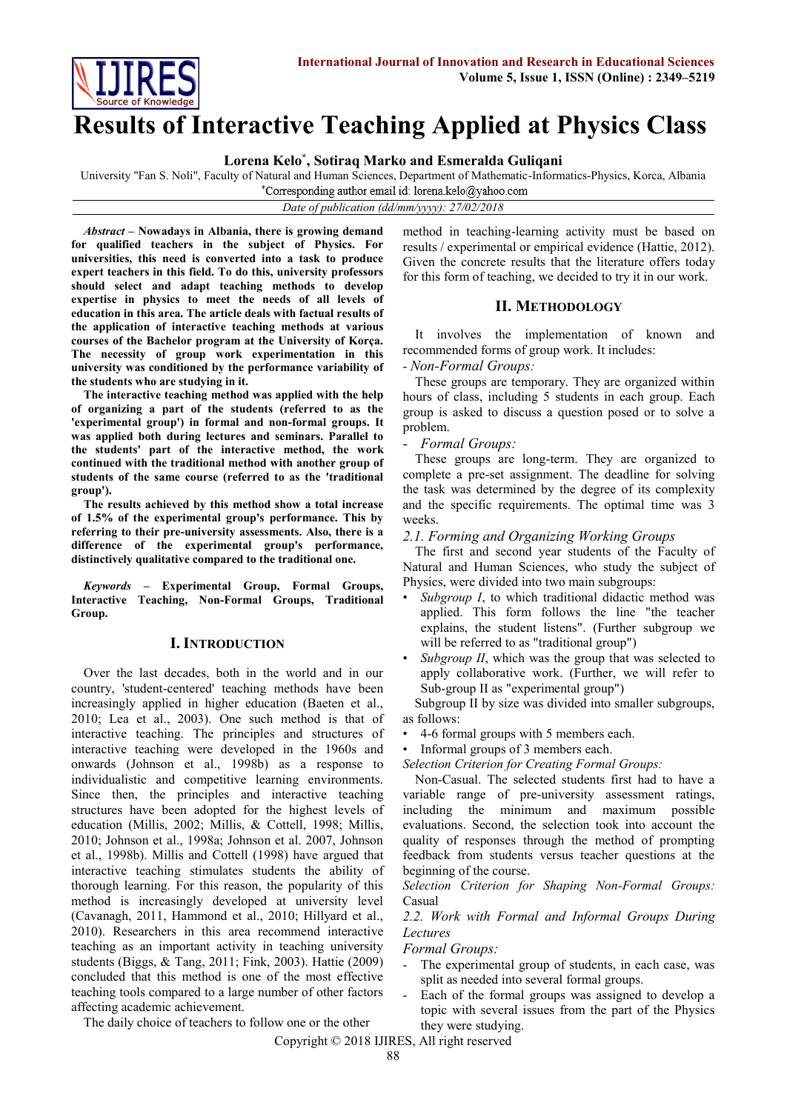

# **Results of Interactive Teaching Applied at Physics Class**

**Lorena Kelo\* , Sotiraq Marko and Esmeralda Guliqani**

University "Fan S. Noli", Faculty of Natural and Human Sciences, Department of Mathematic-Informatics-Physics, Korca, Albania

\*Corresponding author email id: lorena.kelo@yahoo.com

#### *Date of publication (dd/mm/yyyy): 27/02/2018*

*Abstract* **– Nowadays in Albania, there is growing demand for qualified teachers in the subject of Physics. For universities, this need is converted into a task to produce expert teachers in this field. To do this, university professors should select and adapt teaching methods to develop expertise in physics to meet the needs of all levels of education in this area. The article deals with factual results of the application of interactive teaching methods at various courses of the Bachelor program at the University of Korça. The necessity of group work experimentation in this university was conditioned by the performance variability of the students who are studying in it.**

**The interactive teaching method was applied with the help of organizing a part of the students (referred to as the 'experimental group') in formal and non-formal groups. It was applied both during lectures and seminars. Parallel to the students' part of the interactive method, the work continued with the traditional method with another group of students of the same course (referred to as the 'traditional group').**

**The results achieved by this method show a total increase of 1.5% of the experimental group's performance. This by referring to their pre-university assessments. Also, there is a difference of the experimental group's performance, distinctively qualitative compared to the traditional one.**

*Keywords* **– Experimental Group, Formal Groups, Interactive Teaching, Non-Formal Groups, Traditional Group.**

## **I. INTRODUCTION**

Over the last decades, both in the world and in our country, 'student-centered' teaching methods have been increasingly applied in higher education (Baeten et al., 2010; Lea et al., 2003). One such method is that of interactive teaching. The principles and structures of interactive teaching were developed in the 1960s and onwards (Johnson et al., 1998b) as a response to individualistic and competitive learning environments. Since then, the principles and interactive teaching structures have been adopted for the highest levels of education (Millis, 2002; Millis, & Cottell, 1998; Millis, 2010; Johnson et al., 1998a; Johnson et al. 2007, Johnson et al., 1998b). Millis and Cottell (1998) have argued that interactive teaching stimulates students the ability of thorough learning. For this reason, the popularity of this method is increasingly developed at university level (Cavanagh, 2011, Hammond et al., 2010; Hillyard et al., 2010). Researchers in this area recommend interactive teaching as an important activity in teaching university students (Biggs, & Tang, 2011; Fink, 2003). Hattie (2009) concluded that this method is one of the most effective teaching tools compared to a large number of other factors affecting academic achievement.

method in teaching-learning activity must be based on results / experimental or empirical evidence (Hattie, 2012). Given the concrete results that the literature offers today for this form of teaching, we decided to try it in our work.

## **II. METHODOLOGY**

It involves the implementation of known and recommended forms of group work. It includes:

#### - *Non-Formal Groups:*

These groups are temporary. They are organized within hours of class, including 5 students in each group. Each group is asked to discuss a question posed or to solve a problem.

#### - *Formal Groups:*

These groups are long-term. They are organized to complete a pre-set assignment. The deadline for solving the task was determined by the degree of its complexity and the specific requirements. The optimal time was 3 weeks.

#### *2.1. Forming and Organizing Working Groups*

The first and second year students of the Faculty of Natural and Human Sciences, who study the subject of Physics, were divided into two main subgroups:

- Subgroup I, to which traditional didactic method was applied. This form follows the line "the teacher explains, the student listens". (Further subgroup we will be referred to as "traditional group")
- *Subgroup II*, which was the group that was selected to apply collaborative work. (Further, we will refer to Sub-group II as "experimental group")

Subgroup II by size was divided into smaller subgroups, as follows:

- 4-6 formal groups with 5 members each.
- Informal groups of 3 members each.

*Selection Criterion for Creating Formal Groups:*

Non-Casual. The selected students first had to have a variable range of pre-university assessment ratings, including the minimum and maximum possible evaluations. Second, the selection took into account the quality of responses through the method of prompting feedback from students versus teacher questions at the beginning of the course.

*Selection Criterion for Shaping Non-Formal Groups:*  Casual

## *2.2. Work with Formal and Informal Groups During Lectures*

*Formal Groups:*

- The experimental group of students, in each case, was split as needed into several formal groups.
- Each of the formal groups was assigned to develop a topic with several issues from the part of the Physics they were studying.

The daily choice of teachers to follow one or the other

Copyright © 2018 IJIRES, All right reserved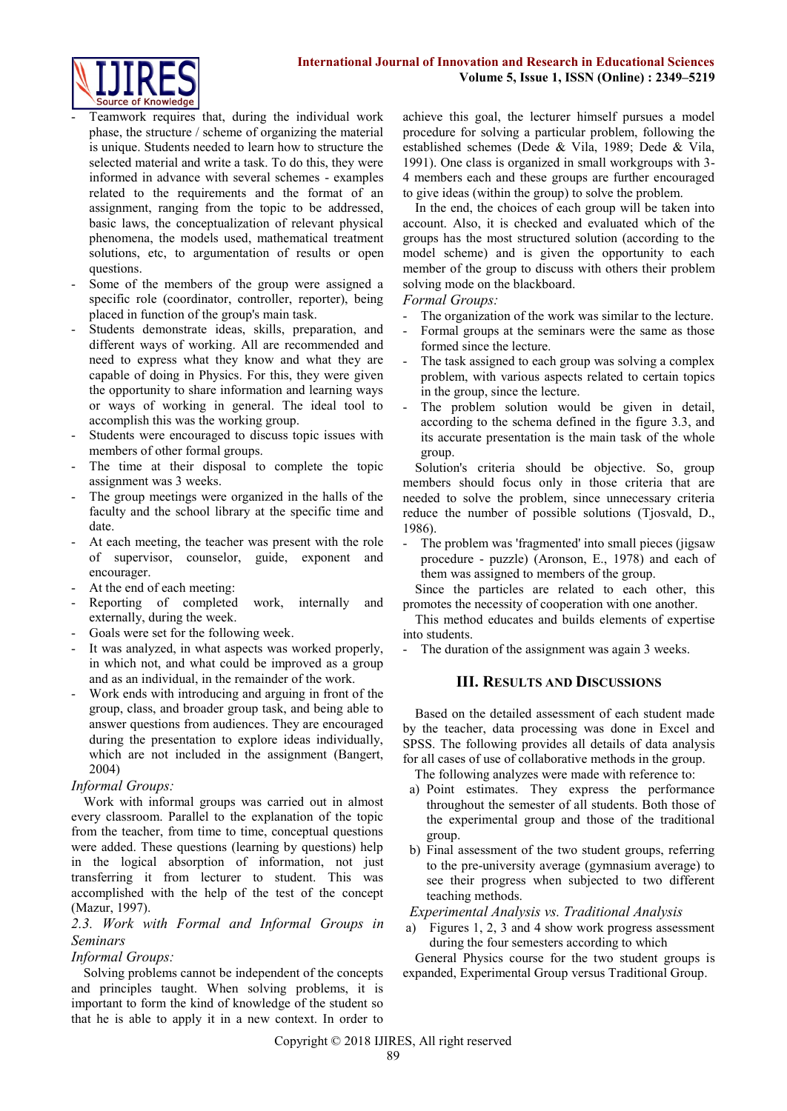

- Teamwork requires that, during the individual work phase, the structure / scheme of organizing the material is unique. Students needed to learn how to structure the selected material and write a task. To do this, they were informed in advance with several schemes - examples related to the requirements and the format of an assignment, ranging from the topic to be addressed, basic laws, the conceptualization of relevant physical phenomena, the models used, mathematical treatment solutions, etc, to argumentation of results or open questions.
- Some of the members of the group were assigned a specific role (coordinator, controller, reporter), being placed in function of the group's main task.
- Students demonstrate ideas, skills, preparation, and different ways of working. All are recommended and need to express what they know and what they are capable of doing in Physics. For this, they were given the opportunity to share information and learning ways or ways of working in general. The ideal tool to accomplish this was the working group.
- Students were encouraged to discuss topic issues with members of other formal groups.
- The time at their disposal to complete the topic assignment was 3 weeks.
- The group meetings were organized in the halls of the faculty and the school library at the specific time and date.
- At each meeting, the teacher was present with the role of supervisor, counselor, guide, exponent and encourager.
- At the end of each meeting:
- Reporting of completed work, internally and externally, during the week.
- Goals were set for the following week.
- It was analyzed, in what aspects was worked properly, in which not, and what could be improved as a group and as an individual, in the remainder of the work.
- Work ends with introducing and arguing in front of the group, class, and broader group task, and being able to answer questions from audiences. They are encouraged during the presentation to explore ideas individually, which are not included in the assignment (Bangert, 2004)

## *Informal Groups:*

Work with informal groups was carried out in almost every classroom. Parallel to the explanation of the topic from the teacher, from time to time, conceptual questions were added. These questions (learning by questions) help in the logical absorption of information, not just transferring it from lecturer to student. This was accomplished with the help of the test of the concept (Mazur, 1997).

## *2.3. Work with Formal and Informal Groups in Seminars*

# *Informal Groups:*

Solving problems cannot be independent of the concepts and principles taught. When solving problems, it is important to form the kind of knowledge of the student so that he is able to apply it in a new context. In order to achieve this goal, the lecturer himself pursues a model procedure for solving a particular problem, following the established schemes (Dede & Vila, 1989; Dede & Vila, 1991). One class is organized in small workgroups with 3- 4 members each and these groups are further encouraged to give ideas (within the group) to solve the problem.

In the end, the choices of each group will be taken into account. Also, it is checked and evaluated which of the groups has the most structured solution (according to the model scheme) and is given the opportunity to each member of the group to discuss with others their problem solving mode on the blackboard.

*Formal Groups:*

- The organization of the work was similar to the lecture.
- Formal groups at the seminars were the same as those formed since the lecture.
- The task assigned to each group was solving a complex problem, with various aspects related to certain topics in the group, since the lecture.
- The problem solution would be given in detail, according to the schema defined in the figure 3.3, and its accurate presentation is the main task of the whole group.

Solution's criteria should be objective. So, group members should focus only in those criteria that are needed to solve the problem, since unnecessary criteria reduce the number of possible solutions (Tjosvald, D., 1986).

- The problem was 'fragmented' into small pieces (jigsaw procedure - puzzle) (Aronson, E., 1978) and each of them was assigned to members of the group.

Since the particles are related to each other, this promotes the necessity of cooperation with one another.

This method educates and builds elements of expertise into students.

The duration of the assignment was again 3 weeks.

# **III. RESULTS AND DISCUSSIONS**

Based on the detailed assessment of each student made by the teacher, data processing was done in Excel and SPSS. The following provides all details of data analysis for all cases of use of collaborative methods in the group.

The following analyzes were made with reference to:

- a) Point estimates. They express the performance throughout the semester of all students. Both those of the experimental group and those of the traditional group.
- b) Final assessment of the two student groups, referring to the pre-university average (gymnasium average) to see their progress when subjected to two different teaching methods.

## *Experimental Analysis vs. Traditional Analysis*

a) Figures 1, 2, 3 and 4 show work progress assessment during the four semesters according to which

General Physics course for the two student groups is expanded, Experimental Group versus Traditional Group.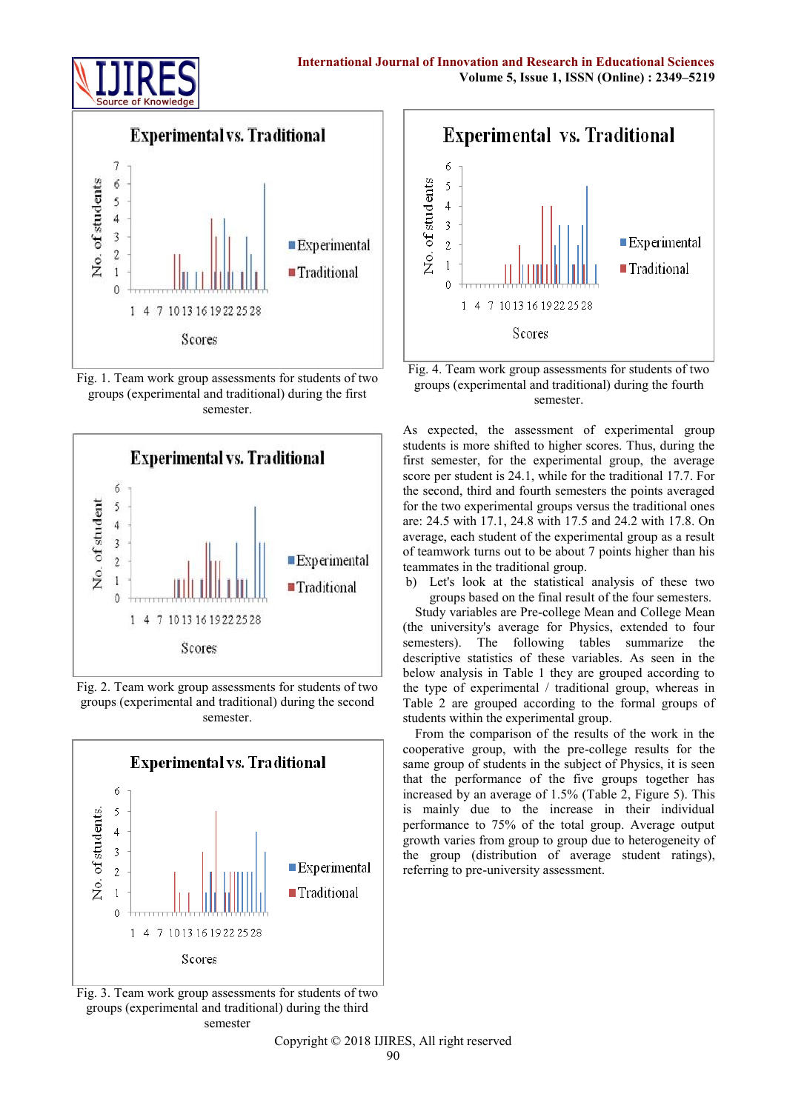



Fig. 1. Team work group assessments for students of two groups (experimental and traditional) during the first semester.



Fig. 2. Team work group assessments for students of two groups (experimental and traditional) during the second semester.



Fig. 3. Team work group assessments for students of two groups (experimental and traditional) during the third semester





As expected, the assessment of experimental group students is more shifted to higher scores. Thus, during the first semester, for the experimental group, the average score per student is 24.1, while for the traditional 17.7. For the second, third and fourth semesters the points averaged for the two experimental groups versus the traditional ones are: 24.5 with 17.1, 24.8 with 17.5 and 24.2 with 17.8. On average, each student of the experimental group as a result of teamwork turns out to be about 7 points higher than his teammates in the traditional group.

b) Let's look at the statistical analysis of these two groups based on the final result of the four semesters.

Study variables are Pre-college Mean and College Mean (the university's average for Physics, extended to four semesters). The following tables summarize the descriptive statistics of these variables. As seen in the below analysis in Table 1 they are grouped according to the type of experimental / traditional group, whereas in Table 2 are grouped according to the formal groups of students within the experimental group.

From the comparison of the results of the work in the cooperative group, with the pre-college results for the same group of students in the subject of Physics, it is seen that the performance of the five groups together has increased by an average of 1.5% (Table 2, Figure 5). This is mainly due to the increase in their individual performance to 75% of the total group. Average output growth varies from group to group due to heterogeneity of the group (distribution of average student ratings), referring to pre-university assessment.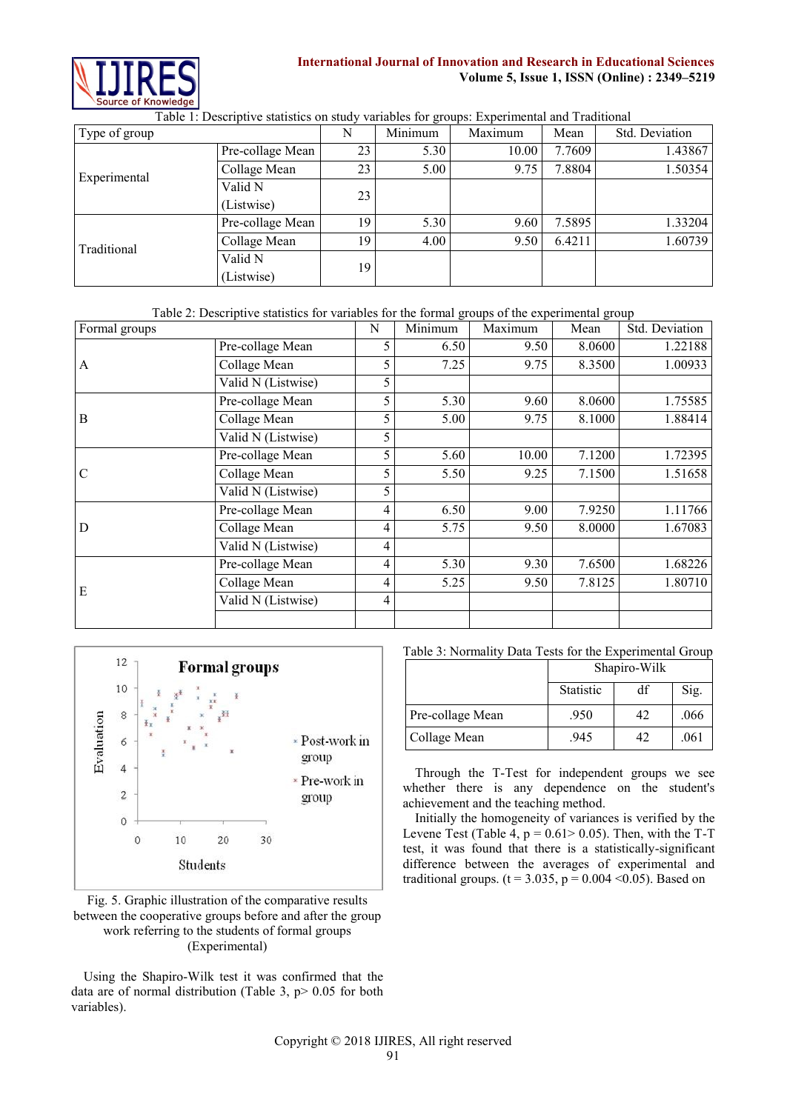

# **International Journal of Innovation and Research in Educational Sciences Volume 5, Issue 1, ISSN (Online) : 2349–5219**

| Type of group |                       | N  | ັ<br>Minimum | Maximum | Mean   | Std. Deviation |
|---------------|-----------------------|----|--------------|---------|--------|----------------|
| Experimental  | Pre-collage Mean      | 23 | 5.30         | 10.00   | 7.7609 | 1.43867        |
|               | Collage Mean          | 23 | 5.00         | 9.75    | 7.8804 | 1.50354        |
|               | Valid N<br>(Listwise) | 23 |              |         |        |                |
| Traditional   | Pre-collage Mean      | 19 | 5.30         | 9.60    | 7.5895 | 1.33204        |
|               | Collage Mean          | 19 | 4.00         | 9.50    | 6.4211 | 1.60739        |
|               | Valid N<br>(Listwise) | 19 |              |         |        |                |

Table 1: Descriptive statistics on study variables for groups: Experimental and Traditional

Table 2: Descriptive statistics for variables for the formal groups of the experimental group

| Formal groups |                    | N | Minimum | Maximum | Mean   | Std. Deviation |
|---------------|--------------------|---|---------|---------|--------|----------------|
| A             | Pre-collage Mean   | 5 | 6.50    | 9.50    | 8.0600 | 1.22188        |
|               | Collage Mean       | 5 | 7.25    | 9.75    | 8.3500 | 1.00933        |
|               | Valid N (Listwise) | 5 |         |         |        |                |
|               | Pre-collage Mean   | 5 | 5.30    | 9.60    | 8.0600 | 1.75585        |
| B             | Collage Mean       | 5 | 5.00    | 9.75    | 8.1000 | 1.88414        |
|               | Valid N (Listwise) | 5 |         |         |        |                |
| $\mathsf{C}$  | Pre-collage Mean   | 5 | 5.60    | 10.00   | 7.1200 | 1.72395        |
|               | Collage Mean       | 5 | 5.50    | 9.25    | 7.1500 | 1.51658        |
|               | Valid N (Listwise) | 5 |         |         |        |                |
| D             | Pre-collage Mean   | 4 | 6.50    | 9.00    | 7.9250 | 1.11766        |
|               | Collage Mean       | 4 | 5.75    | 9.50    | 8.0000 | 1.67083        |
|               | Valid N (Listwise) | 4 |         |         |        |                |
| E             | Pre-collage Mean   | 4 | 5.30    | 9.30    | 7.6500 | 1.68226        |
|               | Collage Mean       | 4 | 5.25    | 9.50    | 7.8125 | 1.80710        |
|               | Valid N (Listwise) | 4 |         |         |        |                |
|               |                    |   |         |         |        |                |



Fig. 5. Graphic illustration of the comparative results between the cooperative groups before and after the group work referring to the students of formal groups (Experimental)

Using the Shapiro-Wilk test it was confirmed that the data are of normal distribution (Table 3,  $p$  > 0.05 for both variables).

Table 3: Normality Data Tests for the Experimental Group

|                  | Shapiro-Wilk     |    |      |  |  |  |
|------------------|------------------|----|------|--|--|--|
|                  | <b>Statistic</b> | df | Sig. |  |  |  |
| Pre-collage Mean | .950             | 42 | .066 |  |  |  |
| Collage Mean     | .945             | 42 | .061 |  |  |  |

Through the T-Test for independent groups we see whether there is any dependence on the student's achievement and the teaching method.

Initially the homogeneity of variances is verified by the Levene Test (Table 4,  $p = 0.61 > 0.05$ ). Then, with the T-T test, it was found that there is a statistically-significant difference between the averages of experimental and traditional groups. ( $t = 3.035$ ,  $p = 0.004 \le 0.05$ ). Based on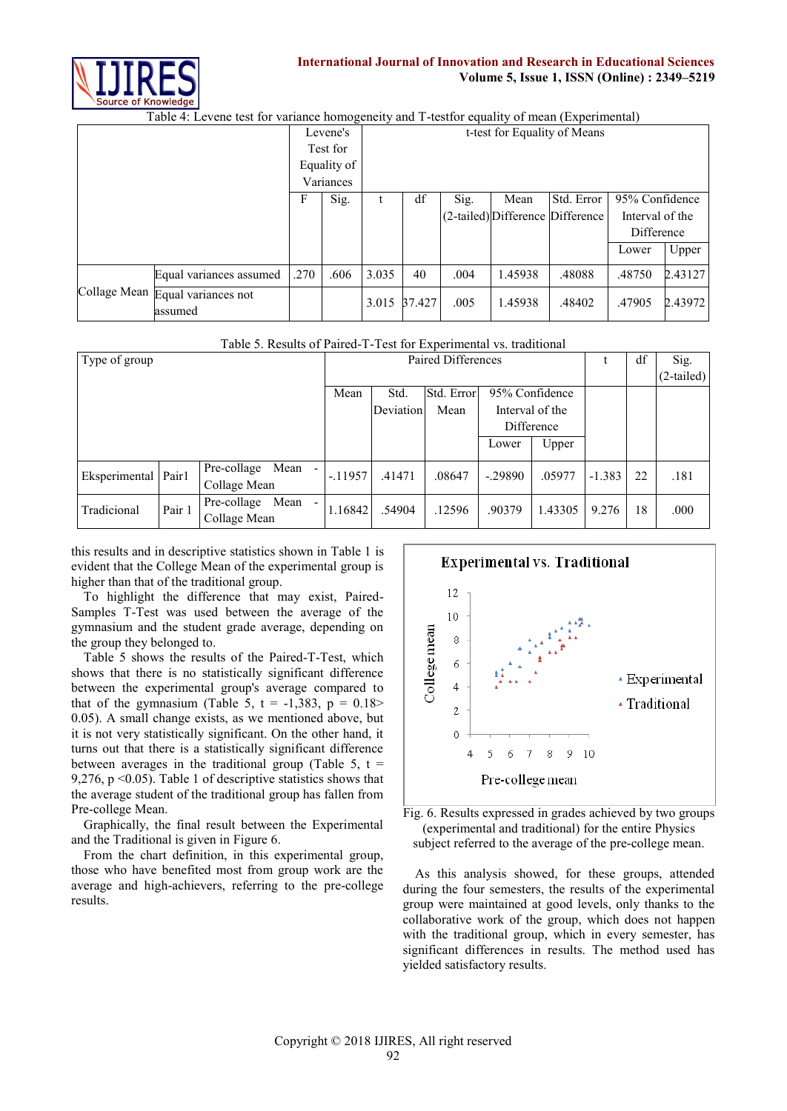

## **International Journal of Innovation and Research in Educational Sciences Volume 5, Issue 1, ISSN (Online) : 2349–5219**

Table 4: Levene test for variance homogeneity and T-testfor equality of mean (Experimental)

|  |                                             |      | Levene's    | t-test for Equality of Means |              |      |         |                                  |                 |         |  |
|--|---------------------------------------------|------|-------------|------------------------------|--------------|------|---------|----------------------------------|-----------------|---------|--|
|  |                                             |      | Test for    |                              |              |      |         |                                  |                 |         |  |
|  |                                             |      | Equality of |                              |              |      |         |                                  |                 |         |  |
|  |                                             |      | Variances   |                              |              |      |         |                                  |                 |         |  |
|  |                                             |      | Sig.        |                              | df           | Sig. | Mean    | Std. Error                       | 95% Confidence  |         |  |
|  |                                             |      |             |                              |              |      |         | (2-tailed) Difference Difference | Interval of the |         |  |
|  |                                             |      |             |                              |              |      |         |                                  | Difference      |         |  |
|  |                                             |      |             |                              |              |      |         |                                  | Lower           | Upper   |  |
|  | Equal variances assumed                     | .270 | .606        | 3.035                        | 40           | .004 | 1.45938 | .48088                           | .48750          | 2.43127 |  |
|  | Collage Mean Equal variances not<br>assumed |      |             |                              | 3.015 37.427 | .005 | 1.45938 | .48402                           | .47905          | 2.43972 |  |

## Table 5. Results of Paired-T-Test for Experimental vs. traditional

| Type of group         |        |                                                                 |          | Paired Differences |                |           |                 |          | df | Sig.         |
|-----------------------|--------|-----------------------------------------------------------------|----------|--------------------|----------------|-----------|-----------------|----------|----|--------------|
|                       |        |                                                                 |          |                    |                |           |                 |          |    | $(2-tailed)$ |
|                       |        | Mean                                                            | Std.     | Std. Error         | 95% Confidence |           |                 |          |    |              |
|                       |        |                                                                 |          | Deviation          | Mean           |           | Interval of the |          |    |              |
|                       |        |                                                                 |          |                    |                |           | Difference      |          |    |              |
|                       |        |                                                                 |          |                    |                | Lower     | Upper           |          |    |              |
| Eksperimental   Pair1 |        | Pre-collage Mean<br>Collage Mean                                | $-11957$ | .41471             | .08647         | $-.29890$ | .05977          | $-1.383$ | 22 | .181         |
| Tradicional           | Pair 1 | Pre-collage<br>Mean<br>$\overline{\phantom{a}}$<br>Collage Mean | 1.168421 | .54904             | .12596         | .90379    | 1.43305         | 9.276    | 18 | .000         |

this results and in descriptive statistics shown in Table 1 is evident that the College Mean of the experimental group is higher than that of the traditional group.

To highlight the difference that may exist, Paired-Samples T-Test was used between the average of the gymnasium and the student grade average, depending on the group they belonged to.

Table 5 shows the results of the Paired-T-Test, which shows that there is no statistically significant difference between the experimental group's average compared to that of the gymnasium (Table 5,  $t = -1,383$ ,  $p = 0.18$ ) 0.05). A small change exists, as we mentioned above, but it is not very statistically significant. On the other hand, it turns out that there is a statistically significant difference between averages in the traditional group (Table 5,  $t =$ 9,276, p <0.05). Table 1 of descriptive statistics shows that the average student of the traditional group has fallen from Pre-college Mean.

Graphically, the final result between the Experimental and the Traditional is given in Figure 6.

From the chart definition, in this experimental group, those who have benefited most from group work are the average and high-achievers, referring to the pre-college results.



Fig. 6. Results expressed in grades achieved by two groups (experimental and traditional) for the entire Physics subject referred to the average of the pre-college mean.

As this analysis showed, for these groups, attended during the four semesters, the results of the experimental group were maintained at good levels, only thanks to the collaborative work of the group, which does not happen with the traditional group, which in every semester, has significant differences in results. The method used has yielded satisfactory results.